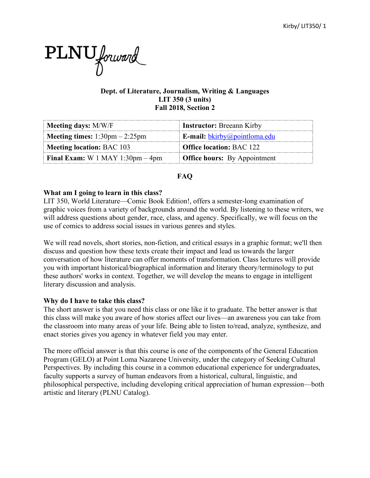

## **Dept. of Literature, Journalism, Writing & Languages LIT 350 (3 units) Fall 2018, Section 2**

| Meeting days: M/W/F                                     | <b>Instructor:</b> Breeann Kirby    |
|---------------------------------------------------------|-------------------------------------|
| <b>Meeting times:</b> $1:30 \text{pm} - 2:25 \text{pm}$ | E-mail: <i>bkirby@pointloma.edu</i> |
| <b>Meeting location: BAC 103</b>                        | <b>Office location: BAC 122</b>     |
| <b>Final Exam:</b> W 1 MAY 1:30pm $-4$ pm               | <b>Office hours:</b> By Appointment |

# **FAQ**

## **What am I going to learn in this class?**

LIT 350, World Literature—Comic Book Edition!, offers a semester-long examination of graphic voices from a variety of backgrounds around the world. By listening to these writers, we will address questions about gender, race, class, and agency. Specifically, we will focus on the use of comics to address social issues in various genres and styles.

We will read novels, short stories, non-fiction, and critical essays in a graphic format; we'll then discuss and question how these texts create their impact and lead us towards the larger conversation of how literature can offer moments of transformation. Class lectures will provide you with important historical/biographical information and literary theory/terminology to put these authors' works in context. Together, we will develop the means to engage in intelligent literary discussion and analysis.

## **Why do I have to take this class?**

The short answer is that you need this class or one like it to graduate. The better answer is that this class will make you aware of how stories affect our lives—an awareness you can take from the classroom into many areas of your life. Being able to listen to/read, analyze, synthesize, and enact stories gives you agency in whatever field you may enter.

The more official answer is that this course is one of the components of the General Education Program (GELO) at Point Loma Nazarene University, under the category of Seeking Cultural Perspectives. By including this course in a common educational experience for undergraduates, faculty supports a survey of human endeavors from a historical, cultural, linguistic, and philosophical perspective, including developing critical appreciation of human expression—both artistic and literary (PLNU Catalog).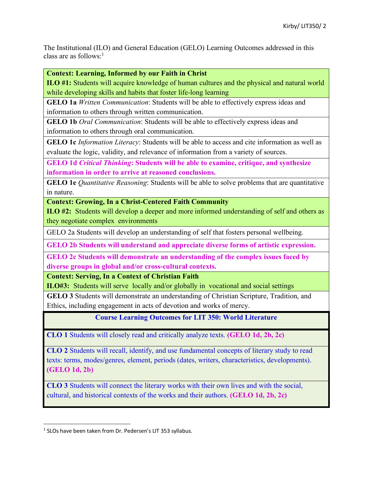The Institutional (ILO) and General Education (GELO) Learning Outcomes addressed in this class are as follows: 1

**Context: Learning, Informed by our Faith in Christ**

**ILO #1:** Students will acquire knowledge of human cultures and the physical and natural world while developing skills and habits that foster life-long learning

**GELO 1a** *Written Communication*: Students will be able to effectively express ideas and information to others through written communication.

**GELO 1b** *Oral Communication*: Students will be able to effectively express ideas and information to others through oral communication.

**GELO 1c** *Information Literacy*: Students will be able to access and cite information as well as evaluate the logic, validity, and relevance of information from a variety of sources.

**GELO 1d** *Critical Thinking***: Students will be able to examine, critique, and synthesize information in order to arrive at reasoned conclusions.**

**GELO 1e** *Quantitative Reasoning*: Students will be able to solve problems that are quantitative in nature.

**Context: Growing, In a Christ-Centered Faith Community**

**ILO #2:** Students will develop a deeper and more informed understanding of self and others as they negotiate complex environments

GELO 2a Students will develop an understanding of self that fosters personal wellbeing.

**GELO 2b Students will understand and appreciate diverse forms of artistic expression.** 

**GELO 2c Students will demonstrate an understanding of the complex issues faced by diverse groups in global and/or cross-cultural contexts.** 

**Context: Serving, In a Context of Christian Faith**

**ILO#3:** Students will serve locally and/or globally in vocational and social settings

**GELO 3** Students will demonstrate an understanding of Christian Scripture, Tradition, and Ethics, including engagement in acts of devotion and works of mercy.

**Course Learning Outcomes for LIT 350: World Literature**

**CLO 1** Students will closely read and critically analyze texts. **(GELO 1d, 2b, 2c)**

**CLO 2** Students will recall, identify, and use fundamental concepts of literary study to read texts: terms, modes/genres, element, periods (dates, writers, characteristics, developments). **(GELO 1d, 2b)**

**CLO 3** Students will connect the literary works with their own lives and with the social, cultural, and historical contexts of the works and their authors. **(GELO 1d, 2b, 2c)**

 $1$  SLOs have been taken from Dr. Pedersen's LIT 353 syllabus.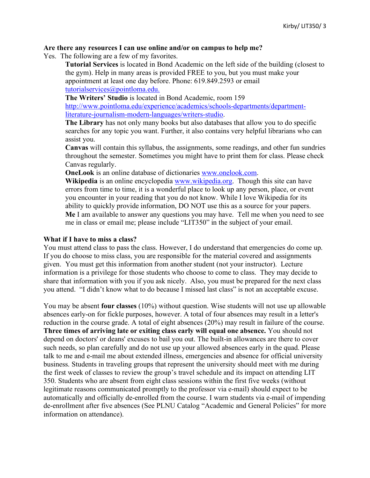#### **Are there any resources I can use online and/or on campus to help me?**

Yes. The following are a few of my favorites.

**Tutorial Services** is located in Bond Academic on the left side of the building (closest to the gym). Help in many areas is provided FREE to you, but you must make your appointment at least one day before. Phone: 619.849.2593 or email tutorialservices@pointloma.edu.

**The Writers' Studio** is located in Bond Academic, room 159

http://www.pointloma.edu/experience/academics/schools-departments/departmentliterature-journalism-modern-languages/writers-studio.

**The Library** has not only many books but also databases that allow you to do specific searches for any topic you want. Further, it also contains very helpful librarians who can assist you.

**Canvas** will contain this syllabus, the assignments, some readings, and other fun sundries throughout the semester. Sometimes you might have to print them for class. Please check Canvas regularly.

**OneLook** is an online database of dictionaries www.onelook.com.

**Wikipedia** is an online encyclopedia www.wikipedia.org. Though this site can have errors from time to time, it is a wonderful place to look up any person, place, or event you encounter in your reading that you do not know. While I love Wikipedia for its ability to quickly provide information, DO NOT use this as a source for your papers. **Me** I am available to answer any questions you may have. Tell me when you need to see me in class or email me; please include "LIT350" in the subject of your email.

#### **What if I have to miss a class?**

You must attend class to pass the class. However, I do understand that emergencies do come up. If you do choose to miss class, you are responsible for the material covered and assignments given. You must get this information from another student (not your instructor). Lecture information is a privilege for those students who choose to come to class. They may decide to share that information with you if you ask nicely. Also, you must be prepared for the next class you attend. "I didn't know what to do because I missed last class" is not an acceptable excuse.

You may be absent **four classes** (10%) without question. Wise students will not use up allowable absences early-on for fickle purposes, however. A total of four absences may result in a letter's reduction in the course grade. A total of eight absences (20%) may result in failure of the course. **Three times of arriving late or exiting class early will equal one absence.** You should not depend on doctors' or deans' excuses to bail you out. The built-in allowances are there to cover such needs, so plan carefully and do not use up your allowed absences early in the quad. Please talk to me and e-mail me about extended illness, emergencies and absence for official university business. Students in traveling groups that represent the university should meet with me during the first week of classes to review the group's travel schedule and its impact on attending LIT 350. Students who are absent from eight class sessions within the first five weeks (without legitimate reasons communicated promptly to the professor via e-mail) should expect to be automatically and officially de-enrolled from the course. I warn students via e-mail of impending de-enrollment after five absences (See PLNU Catalog "Academic and General Policies" for more information on attendance).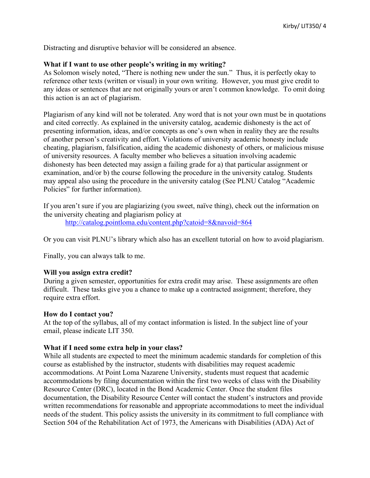Distracting and disruptive behavior will be considered an absence.

# **What if I want to use other people's writing in my writing?**

As Solomon wisely noted, "There is nothing new under the sun." Thus, it is perfectly okay to reference other texts (written or visual) in your own writing. However, you must give credit to any ideas or sentences that are not originally yours or aren't common knowledge. To omit doing this action is an act of plagiarism.

Plagiarism of any kind will not be tolerated. Any word that is not your own must be in quotations and cited correctly. As explained in the university catalog, academic dishonesty is the act of presenting information, ideas, and/or concepts as one's own when in reality they are the results of another person's creativity and effort. Violations of university academic honesty include cheating, plagiarism, falsification, aiding the academic dishonesty of others, or malicious misuse of university resources. A faculty member who believes a situation involving academic dishonesty has been detected may assign a failing grade for a) that particular assignment or examination, and/or b) the course following the procedure in the university catalog. Students may appeal also using the procedure in the university catalog (See PLNU Catalog "Academic Policies" for further information).

If you aren't sure if you are plagiarizing (you sweet, naïve thing), check out the information on the university cheating and plagiarism policy at

http://catalog.pointloma.edu/content.php?catoid=8&navoid=864

Or you can visit PLNU's library which also has an excellent tutorial on how to avoid plagiarism.

Finally, you can always talk to me.

## **Will you assign extra credit?**

During a given semester, opportunities for extra credit may arise. These assignments are often difficult. These tasks give you a chance to make up a contracted assignment; therefore, they require extra effort.

## **How do I contact you?**

At the top of the syllabus, all of my contact information is listed. In the subject line of your email, please indicate LIT 350.

## **What if I need some extra help in your class?**

While all students are expected to meet the minimum academic standards for completion of this course as established by the instructor, students with disabilities may request academic accommodations. At Point Loma Nazarene University, students must request that academic accommodations by filing documentation within the first two weeks of class with the Disability Resource Center (DRC), located in the Bond Academic Center. Once the student files documentation, the Disability Resource Center will contact the student's instructors and provide written recommendations for reasonable and appropriate accommodations to meet the individual needs of the student. This policy assists the university in its commitment to full compliance with Section 504 of the Rehabilitation Act of 1973, the Americans with Disabilities (ADA) Act of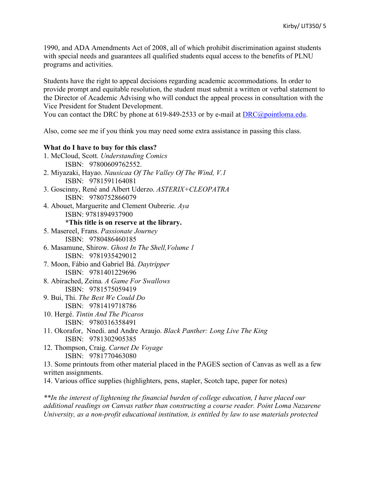1990, and ADA Amendments Act of 2008, all of which prohibit discrimination against students with special needs and guarantees all qualified students equal access to the benefits of PLNU programs and activities.

Students have the right to appeal decisions regarding academic accommodations. In order to provide prompt and equitable resolution, the student must submit a written or verbal statement to the Director of Academic Advising who will conduct the appeal process in consultation with the Vice President for Student Development.

You can contact the DRC by phone at 619-849-2533 or by e-mail at  $\text{DRC}(a)$  pointloma.edu.

Also, come see me if you think you may need some extra assistance in passing this class.

# **What do I have to buy for this class?**

| 1. McCloud, Scott. Understanding Comics                                                       |
|-----------------------------------------------------------------------------------------------|
| ISBN: 97800609762552.                                                                         |
| 2. Miyazaki, Hayao. Nausicaa Of The Valley Of The Wind, V.1                                   |
| ISBN: 9781591164081                                                                           |
| 3. Goscinny, René and Albert Uderzo. ASTERIX+CLEOPATRA                                        |
| ISBN: 9780752866079                                                                           |
| 4. Abouet, Marguerite and Clement Oubrerie. Aya                                               |
| ISBN: 9781894937900                                                                           |
| *This title is on reserve at the library.                                                     |
| 5. Masereel, Frans. Passionate Journey                                                        |
| ISBN: 9780486460185                                                                           |
| 6. Masamune, Shirow. Ghost In The Shell, Volume 1                                             |
| ISBN: 9781935429012                                                                           |
| 7. Moon, Fábio and Gabriel Bá. Daytripper                                                     |
| ISBN: 9781401229696                                                                           |
| 8. Abirached, Zeina. A Game For Swallows                                                      |
| ISBN: 9781575059419                                                                           |
| 9. Bui, Thi. The Best We Could Do                                                             |
| ISBN: 9781419718786                                                                           |
| 10. Hergé. Tintin And The Picaros                                                             |
| ISBN: 9780316358491                                                                           |
| 11. Okorafor, Nnedi. and Andre Araujo. Black Panther: Long Live The King                      |
| ISBN: 9781302905385                                                                           |
| 12. Thompson, Craig. Carnet De Voyage                                                         |
| ISBN: 9781770463080                                                                           |
| 13. Some printouts from other material placed in the PAGES section of Canvas as well as a few |
| written assignments.                                                                          |

14. Various office supplies (highlighters, pens, stapler, Scotch tape, paper for notes)

*\*\*In the interest of lightening the financial burden of college education, I have placed our additional readings on Canvas rather than constructing a course reader. Point Loma Nazarene University, as a non-profit educational institution, is entitled by law to use materials protected*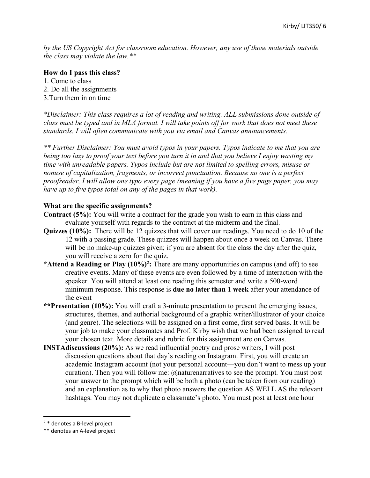*by the US Copyright Act for classroom education. However, any use of those materials outside the class may violate the law.\*\**

#### **How do I pass this class?**

- 1. Come to class
- 2. Do all the assignments
- 3.Turn them in on time

*\*Disclaimer: This class requires a lot of reading and writing. ALL submissions done outside of class must be typed and in MLA format. I will take points off for work that does not meet these standards. I will often communicate with you via email and Canvas announcements.* 

*\*\* Further Disclaimer: You must avoid typos in your papers. Typos indicate to me that you are being too lazy to proof your text before you turn it in and that you believe I enjoy wasting my time with unreadable papers. Typos include but are not limited to spelling errors, misuse or nonuse of capitalization, fragments, or incorrect punctuation. Because no one is a perfect proofreader, I will allow one typo every page (meaning if you have a five page paper, you may have up to five typos total on any of the pages in that work).*

## **What are the specific assignments?**

- **Contract (5%):** You will write a contract for the grade you wish to earn in this class and evaluate yourself with regards to the contract at the midterm and the final.
- **Quizzes (10%):** There will be 12 quizzes that will cover our readings. You need to do 10 of the 12 with a passing grade. These quizzes will happen about once a week on Canvas. There will be no make-up quizzes given; if you are absent for the class the day after the quiz, you will receive a zero for the quiz.
- **\*Attend a Reading or Play (10%) 2 :** There are many opportunities on campus (and off) to see creative events. Many of these events are even followed by a time of interaction with the speaker. You will attend at least one reading this semester and write a 500-word minimum response. This response is **due no later than 1 week** after your attendance of the event
- **\*\*Presentation (10%):** You will craft a 3-minute presentation to present the emerging issues, structures, themes, and authorial background of a graphic writer/illustrator of your choice (and genre). The selections will be assigned on a first come, first served basis. It will be your job to make your classmates and Prof. Kirby wish that we had been assigned to read your chosen text. More details and rubric for this assignment are on Canvas.
- **INSTAdiscussions (20%):** As we read influential poetry and prose writers, I will post discussion questions about that day's reading on Instagram. First, you will create an academic Instagram account (not your personal account—you don't want to mess up your curation). Then you will follow me: @naturenarratives to see the prompt. You must post your answer to the prompt which will be both a photo (can be taken from our reading) and an explanation as to why that photo answers the question AS WELL AS the relevant hashtags. You may not duplicate a classmate's photo. You must post at least one hour

 <sup>2</sup> \* denotes a B-level project

<sup>\*\*</sup> denotes an A-level project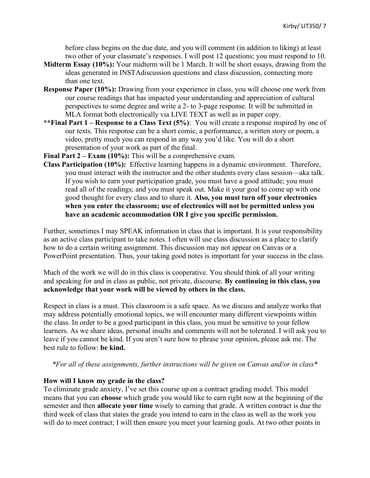before class begins on the due date, and you will comment (in addition to liking) at least two other of your classmate's responses. I will post 12 questions; you must respond to 10.

- **Midterm Essay (10%):** Your midterm will be 1 March. It will be short essays, drawing from the ideas generated in INSTAdiscussion questions and class discussion, connecting more than one text.
- **Response Paper (10%):** Drawing from your experience in class, you will choose one work from our course readings that has impacted your understanding and appreciation of cultural perspectives to some degree and write a 2- to 3-page response. It will be submitted in MLA format both electronically via LIVE TEXT as well as in paper copy.
- **\*\*Final Part 1 – Response to a Class Text (5%)**: You will create a response inspired by one of our texts. This response can be a short comic, a performance, a written story or poem, a video, pretty much you can respond in any way you'd like. You will do a short presentation of your work as part of the final.
- **Final Part 2 – Exam (10%):** This will be a comprehensive exam.
- **Class Participation (10%):** Effective learning happens in a dynamic environment. Therefore, you must interact with the instructor and the other students every class session—aka talk. If you wish to earn your participation grade, you must have a good attitude; you must read all of the readings; and you must speak out. Make it your goal to come up with one good thought for every class and to share it. **Also, you must turn off your electronics when you enter the classroom; use of electronics will not be permitted unless you have an academic accommodation OR I give you specific permission.**

Further, sometimes I may SPEAK information in class that is important. It is your responsibility as an active class participant to take notes. I often will use class discussion as a place to clarify how to do a certain writing assignment. This discussion may not appear on Canvas or a PowerPoint presentation. Thus, your taking good notes is important for your success in the class.

Much of the work we will do in this class is cooperative. You should think of all your writing and speaking for and in class as public, not private, discourse. **By continuing in this class, you acknowledge that your work will be viewed by others in the class.**

Respect in class is a must. This classroom is a safe space. As we discuss and analyze works that may address potentially emotional topics, we will encounter many different viewpoints within the class. In order to be a good participant in this class, you must be sensitive to your fellow learners. As we share ideas, personal insults and comments will not be tolerated. I will ask you to leave if you cannot be kind. If you aren't sure how to phrase your opinion, please ask me. The best rule to follow: **be kind.**

*\*For all of these assignments, further instructions will be given on Canvas and/or in class\**

## **How will I know my grade in the class?**

To eliminate grade anxiety, I've set this course up on a contract grading model. This model means that you can **choose** which grade you would like to earn right now at the beginning of the semester and then **allocate your time** wisely to earning that grade. A written contract is due the third week of class that states the grade you intend to earn in the class as well as the work you will do to meet contract; I will then ensure you meet your learning goals. At two other points in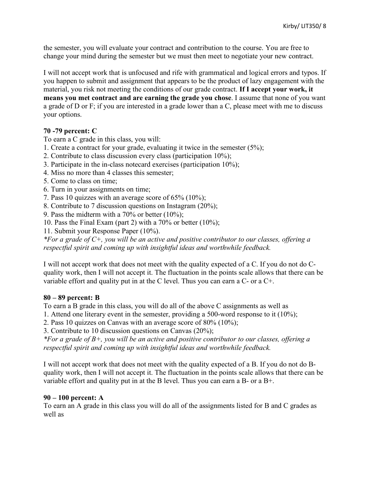the semester, you will evaluate your contract and contribution to the course. You are free to change your mind during the semester but we must then meet to negotiate your new contract.

I will not accept work that is unfocused and rife with grammatical and logical errors and typos. If you happen to submit and assignment that appears to be the product of lazy engagement with the material, you risk not meeting the conditions of our grade contract. **If I accept your work, it means you met contract and are earning the grade you chose**. I assume that none of you want a grade of D or F; if you are interested in a grade lower than a C, please meet with me to discuss your options.

# **70 -79 percent: C**

To earn a C grade in this class, you will:

- 1. Create a contract for your grade, evaluating it twice in the semester (5%);
- 2. Contribute to class discussion every class (participation 10%);
- 3. Participate in the in-class notecard exercises (participation 10%);
- 4. Miss no more than 4 classes this semester;
- 5. Come to class on time;
- 6. Turn in your assignments on time;
- 7. Pass 10 quizzes with an average score of 65% (10%);
- 8. Contribute to 7 discussion questions on Instagram (20%);
- 9. Pass the midterm with a 70% or better  $(10\%)$ ;
- 10. Pass the Final Exam (part 2) with a  $70\%$  or better  $(10\%)$ ;
- 11. Submit your Response Paper (10%).

*\*For a grade of C+, you will be an active and positive contributor to our classes, offering a respectful spirit and coming up with insightful ideas and worthwhile feedback.*

I will not accept work that does not meet with the quality expected of a C. If you do not do Cquality work, then I will not accept it. The fluctuation in the points scale allows that there can be variable effort and quality put in at the C level. Thus you can earn a C- or a C+.

## **80 – 89 percent: B**

To earn a B grade in this class, you will do all of the above C assignments as well as

- 1. Attend one literary event in the semester, providing a 500-word response to it (10%);
- 2. Pass 10 quizzes on Canvas with an average score of 80% (10%);

3. Contribute to 10 discussion questions on Canvas (20%);

*\*For a grade of B+, you will be an active and positive contributor to our classes, offering a respectful spirit and coming up with insightful ideas and worthwhile feedback.*

I will not accept work that does not meet with the quality expected of a B. If you do not do Bquality work, then I will not accept it. The fluctuation in the points scale allows that there can be variable effort and quality put in at the B level. Thus you can earn a B- or a B+.

## **90 – 100 percent: A**

To earn an A grade in this class you will do all of the assignments listed for B and C grades as well as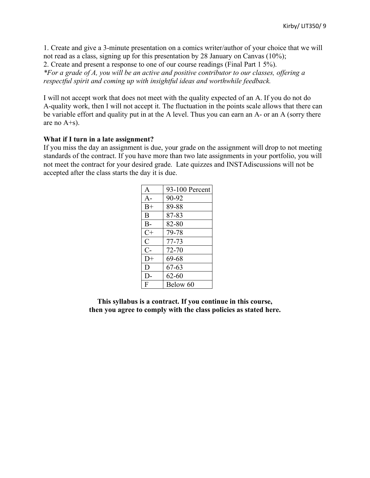1. Create and give a 3-minute presentation on a comics writer/author of your choice that we will not read as a class, signing up for this presentation by 28 January on Canvas (10%); 2. Create and present a response to one of our course readings (Final Part 1 5%).

*\*For a grade of A, you will be an active and positive contributor to our classes, offering a respectful spirit and coming up with insightful ideas and worthwhile feedback.*

I will not accept work that does not meet with the quality expected of an A. If you do not do A-quality work, then I will not accept it. The fluctuation in the points scale allows that there can be variable effort and quality put in at the A level. Thus you can earn an A- or an A (sorry there are no A+s).

#### **What if I turn in a late assignment?**

If you miss the day an assignment is due, your grade on the assignment will drop to not meeting standards of the contract. If you have more than two late assignments in your portfolio, you will not meet the contract for your desired grade. Late quizzes and INSTAdiscussions will not be accepted after the class starts the day it is due.

| A             | 93-100 Percent |
|---------------|----------------|
| $A -$         | 90-92          |
| $B+$          | 89-88          |
| B             | 87-83          |
| $B-$          | 82-80          |
| $C+$          | 79-78          |
| $\mathcal{C}$ | 77-73          |
| $C-$          | 72-70          |
| $D+$          | 69-68          |
| D             | 67-63          |
| $D-$          | $62 - 60$      |
| F             | Below 60       |

**This syllabus is a contract. If you continue in this course, then you agree to comply with the class policies as stated here.**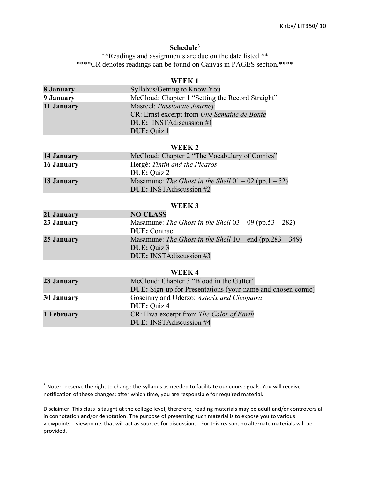## **Schedule3**

\*\*Readings and assignments are due on the date listed.\*\* \*\*\*\*CR denotes readings can be found on Canvas in PAGES section.\*\*\*\*

## **WEEK 1**

| 8 January  | Syllabus/Getting to Know You                     |
|------------|--------------------------------------------------|
| 9 January  | McCloud: Chapter 1 "Setting the Record Straight" |
| 11 January | Masreel: Passionate Journey                      |
|            | CR: Ernst excerpt from Une Semaine de Bonté      |
|            | <b>DUE:</b> INSTAdiscussion #1                   |
|            | <b>DUE:</b> Quiz 1                               |

**WEEK 2**

| 14 January | McCloud: Chapter 2 "The Vocabulary of Comics"                                            |
|------------|------------------------------------------------------------------------------------------|
| 16 January | Hergé: Tintin and the Picaros<br><b>DUE</b> : Quiz 2                                     |
| 18 January | Masamune: The Ghost in the Shell $01 - 02$ (pp.1 - 52)<br><b>DUE:</b> INSTAdiscussion #2 |

#### **WEEK 3**

| 21 January | <b>NO CLASS</b>                                            |
|------------|------------------------------------------------------------|
| 23 January | Masamune: The Ghost in the Shell $03 - 09$ (pp.53 - 282)   |
|            | <b>DUE</b> : Contract                                      |
| 25 January | Masamune: The Ghost in the Shell $10$ – end (pp.283 – 349) |
|            | <b>DUE:</b> Quiz 3                                         |
|            | <b>DUE:</b> INSTA discussion #3                            |

#### **WEEK 4**

| 28 January | McCloud: Chapter 3 "Blood in the Gutter"<br><b>DUE:</b> Sign-up for Presentations (your name and chosen comic) |
|------------|----------------------------------------------------------------------------------------------------------------|
| 30 January | Goscinny and Uderzo: Asterix and Cleopatra<br><b>DUE:</b> Quiz 4                                               |
| 1 February | CR: Hwa excerpt from The Color of Earth<br><b>DUE:</b> INSTAdiscussion #4                                      |

<sup>&</sup>lt;sup>3</sup> Note: I reserve the right to change the syllabus as needed to facilitate our course goals. You will receive notification of these changes; after which time, you are responsible for required material.

Disclaimer: This class is taught at the college level; therefore, reading materials may be adult and/or controversial in connotation and/or denotation. The purpose of presenting such material is to expose you to various viewpoints—viewpoints that will act as sources for discussions. For this reason, no alternate materials will be provided.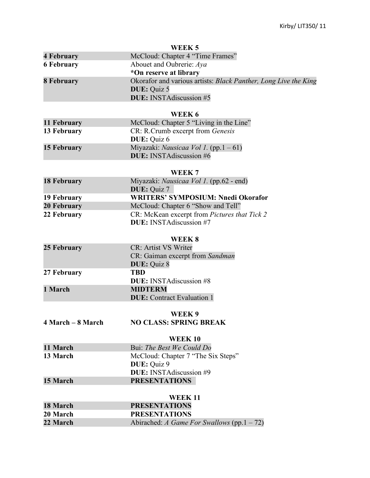| WEEK <sub>5</sub>              |                                                                 |
|--------------------------------|-----------------------------------------------------------------|
| <b>4 February</b>              | McCloud: Chapter 4 "Time Frames"                                |
| <b>6 February</b>              | Abouet and Oubrerie: Aya                                        |
|                                | *On reserve at library                                          |
| <b>8 February</b>              | Okorafor and various artists: Black Panther, Long Live the King |
|                                | <b>DUE:</b> Quiz 5                                              |
|                                | <b>DUE:</b> INSTAdiscussion #5                                  |
|                                |                                                                 |
| 11 February                    | WEEK 6<br>McCloud: Chapter 5 "Living in the Line"               |
| 13 February                    | CR: R.Crumb excerpt from Genesis                                |
|                                | DUE: Quiz 6                                                     |
| <b>15 February</b>             | Miyazaki: <i>Nausicaa Vol 1</i> . (pp.1 – 61)                   |
|                                | <b>DUE:</b> INSTAdiscussion #6                                  |
|                                |                                                                 |
|                                | WEEK <sub>7</sub>                                               |
| <b>18 February</b>             | Miyazaki: <i>Nausicaa Vol 1</i> . (pp.62 - end)                 |
|                                | <b>DUE: Quiz 7</b>                                              |
| 19 February                    | <b>WRITERS' SYMPOSIUM: Nnedi Okorafor</b>                       |
| 20 February                    | McCloud: Chapter 6 "Show and Tell"                              |
| 22 February                    | CR: McKean excerpt from Pictures that Tick 2                    |
| <b>DUE:</b> INSTAdiscussion #7 |                                                                 |
|                                |                                                                 |
|                                | WEEK 8                                                          |
| 25 February                    | CR: Artist VS Writer                                            |
|                                | CR: Gaiman excerpt from Sandman                                 |
|                                | <b>DUE: Quiz 8</b>                                              |
| 27 February                    | <b>TBD</b><br><b>DUE:</b> INSTAdiscussion #8                    |
| 1 March                        | <b>MIDTERM</b>                                                  |
|                                | <b>DUE:</b> Contract Evaluation 1                               |
|                                |                                                                 |
|                                | WEEK 9                                                          |
| 4 March – 8 March              | <b>NO CLASS: SPRING BREAK</b>                                   |
|                                |                                                                 |
|                                | <b>WEEK10</b>                                                   |
| 11 March                       | Bui: The Best We Could Do                                       |
| 13 March                       | McCloud: Chapter 7 "The Six Steps"                              |
|                                | DUE: Quiz 9                                                     |
|                                | DUE: INSTAdiscussion #9                                         |
| 15 March                       | <b>PRESENTATIONS</b>                                            |
| <b>WEEK 11</b>                 |                                                                 |
| 18 March                       | <b>PRESENTATIONS</b>                                            |
| 20 March                       | <b>PRESENTATIONS</b>                                            |
| 22 March                       | Abirached: A Game For Swallows (pp.1 - 72)                      |
|                                |                                                                 |